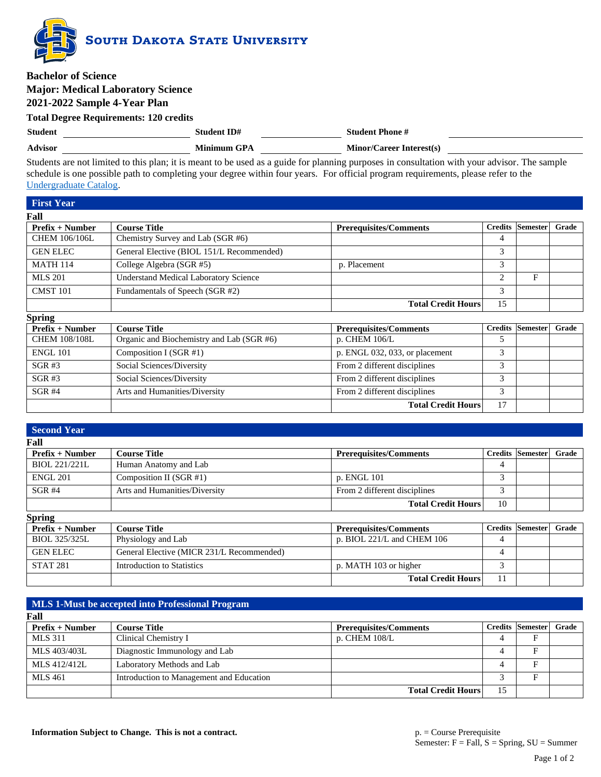

| Dachelol of Science  |                                               |                    |                                 |  |        |  |
|----------------------|-----------------------------------------------|--------------------|---------------------------------|--|--------|--|
|                      | <b>Major: Medical Laboratory Science</b>      |                    |                                 |  |        |  |
|                      | 2021-2022 Sample 4-Year Plan                  |                    |                                 |  |        |  |
|                      | <b>Total Degree Requirements: 120 credits</b> |                    |                                 |  |        |  |
| <b>Student</b>       |                                               | <b>Student ID#</b> | <b>Student Phone #</b>          |  |        |  |
| <b>Advisor</b>       |                                               | <b>Minimum GPA</b> | <b>Minor/Career Interest(s)</b> |  |        |  |
| $\sim$ $\sim$ $\sim$ |                                               |                    |                                 |  | $\sim$ |  |

Students are not limited to this plan; it is meant to be used as a guide for planning purposes in consultation with your advisor. The sample schedule is one possible path to completing your degree within four years. For official program requirements, please refer to the [Undergraduate Catalog.](http://catalog.sdstate.edu/)

| <b>First Year</b>    |                                              |                                      |                |                 |       |
|----------------------|----------------------------------------------|--------------------------------------|----------------|-----------------|-------|
| Fall                 |                                              |                                      |                |                 |       |
| $Prefix + Number$    | <b>Course Title</b>                          | <b>Prerequisites/Comments</b>        | <b>Credits</b> | <b>Semester</b> | Grade |
| CHEM 106/106L        | Chemistry Survey and Lab (SGR #6)            |                                      | 4              |                 |       |
| <b>GEN ELEC</b>      | General Elective (BIOL 151/L Recommended)    |                                      | 3              |                 |       |
| <b>MATH 114</b>      | College Algebra (SGR #5)                     | p. Placement                         | 3              |                 |       |
| <b>MLS 201</b>       | <b>Understand Medical Laboratory Science</b> |                                      | 2              | F               |       |
| CMST <sub>101</sub>  | Fundamentals of Speech (SGR #2)              |                                      | 3              |                 |       |
|                      |                                              | <b>Total Credit Hours</b>            | 15             |                 |       |
| <b>Spring</b>        |                                              |                                      |                |                 |       |
| $Prefix + Number$    | <b>Course Title</b>                          | <b>Prerequisites/Comments</b>        | <b>Credits</b> | <b>Semester</b> | Grade |
| <b>CHEM 108/108L</b> | Organic and Biochemistry and Lab (SGR #6)    | p. CHEM 106/L                        | 5              |                 |       |
| <b>ENGL 101</b>      | Composition I (SGR $#1$ )                    | p. ENGL $032$ , $033$ , or placement | 3              |                 |       |

| ENGL 101  | Composition I (SGR $#1$ )     | p. ENGL $032$ , $033$ , or placement |    |  |
|-----------|-------------------------------|--------------------------------------|----|--|
| $SGR \#3$ | Social Sciences/Diversity     | From 2 different disciplines         |    |  |
| $SGR \#3$ | Social Sciences/Diversity     | From 2 different disciplines         |    |  |
| $SGR$ #4  | Arts and Humanities/Diversity | From 2 different disciplines         |    |  |
|           |                               | <b>Total Credit Hours</b>            | 17 |  |

| <b>Second Year</b>  |                                           |                               |    |                  |       |
|---------------------|-------------------------------------------|-------------------------------|----|------------------|-------|
| Fall                |                                           |                               |    |                  |       |
| Prefix + Number     | <b>Course Title</b>                       | <b>Prerequisites/Comments</b> |    | Credits Semester | Grade |
| BIOL 221/221L       | Human Anatomy and Lab                     |                               | 4  |                  |       |
| <b>ENGL 201</b>     | Composition II (SGR #1)                   | p. ENGL 101                   | 3  |                  |       |
| $SGR$ #4            | Arts and Humanities/Diversity             | From 2 different disciplines  | 3  |                  |       |
|                     |                                           | <b>Total Credit Hours</b>     | 10 |                  |       |
| <b>Spring</b>       |                                           |                               |    |                  |       |
| $Prefix + Number$   | <b>Course Title</b>                       | <b>Prerequisites/Comments</b> |    | Credits Semester | Grade |
| BIOL 325/325L       | Physiology and Lab                        | p. BIOL 221/L and CHEM 106    | 4  |                  |       |
| <b>GEN ELEC</b>     | General Elective (MICR 231/L Recommended) |                               | 4  |                  |       |
| STAT <sub>281</sub> | Introduction to Statistics                | p. MATH 103 or higher         | 3  |                  |       |
|                     |                                           | <b>Total Credit Hours</b>     | 11 |                  |       |

#### **MLS 1-Must be accepted into Professional Program Fall**

| г ап              |                                          |                               |    |                  |       |
|-------------------|------------------------------------------|-------------------------------|----|------------------|-------|
| $Prefix + Number$ | <b>Course Title</b>                      | <b>Prerequisites/Comments</b> |    | Credits Semester | Grade |
| <b>MLS</b> 311    | Clinical Chemistry I                     | p. CHEM 108/L                 | 4  | Е                |       |
| MLS 403/403L      | Diagnostic Immunology and Lab            |                               |    | E                |       |
| MLS 412/412L      | Laboratory Methods and Lab               |                               |    | E                |       |
| MLS 461           | Introduction to Management and Education |                               |    | E                |       |
|                   |                                          | <b>Total Credit Hours</b>     | 15 |                  |       |